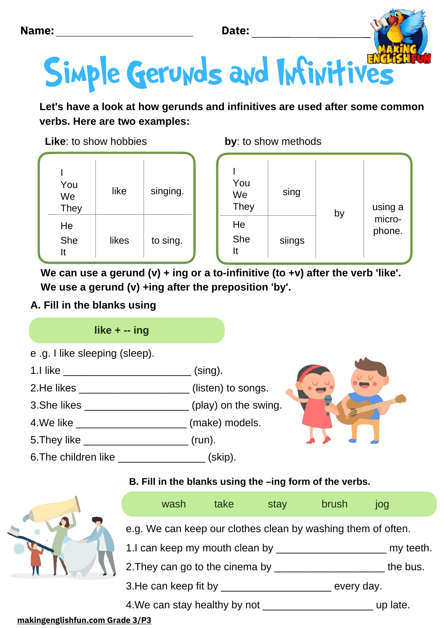



**Let's have a look at how gerunds and infinitives are used after some common verbs. Here are two examples:**

**by**: to show methods

**Like**: to show hobbies

| You<br>We<br><b>They</b> | like  | singing. | You<br>We<br><b>They</b> | sing   | by | using a          |
|--------------------------|-------|----------|--------------------------|--------|----|------------------|
| He<br>She<br>It          | likes | to sing. | He<br>She<br>It          | siings |    | micro-<br>phone. |

**We can use a gerund (v) + ing or a to-infinitive (to +v) after the verb 'like'. We use a gerund (v) +ing after the preposition 'by'.**

# **A. Fill in the blanks using**

# **like + -- ing**

| e .g. I like sleeping (sleep). |  |  |  |
|--------------------------------|--|--|--|
|--------------------------------|--|--|--|

- 1.I like \_\_\_\_\_\_\_\_\_\_\_\_\_\_\_\_\_\_\_\_\_\_\_\_\_\_\_\_\_\_\_\_(sing). 2.He likes \_\_\_\_\_\_\_\_\_\_\_\_\_\_\_\_\_\_\_\_\_\_(listen) to songs.
- 3.She likes \_\_\_\_\_\_\_\_\_\_\_\_\_\_\_\_\_\_\_\_\_ (play) on the swing.
- 4. We like \_\_\_\_\_\_\_\_\_\_\_\_\_\_\_\_\_\_\_\_\_\_\_\_\_\_\_\_\_ (make) models.
- 5.They like \_\_\_\_\_\_\_\_\_\_\_\_\_\_\_\_\_\_ (run).
- 6.The children like \_\_\_\_\_\_\_\_\_\_\_\_\_\_\_\_\_\_(skip).

# **B. Fill in the blanks using the –ing form of the verbs.**



### **[makingenglishfun.com Grade](http://makingenglishfun.com/) 3/P3**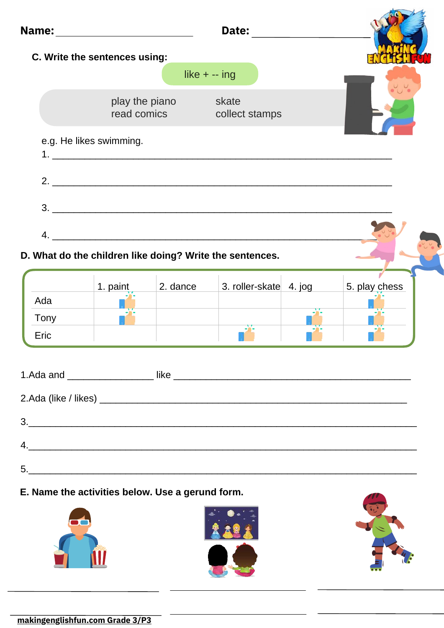

### **D. What do the children like doing? Write the sentences.**

|      | 1. paint | 2. dance | 3. roller-skate 4. jog | 5. play chess |
|------|----------|----------|------------------------|---------------|
| Ada  |          |          |                        |               |
| Tony |          |          |                        |               |
| Eric |          |          |                        |               |

|                                                                           | like<br><u> 1989 - Johann John Stone, markin basar a shekara 1980 - An tsa a shekara 1980 - An tsa a shekara 1980 - An tsa</u> |
|---------------------------------------------------------------------------|--------------------------------------------------------------------------------------------------------------------------------|
|                                                                           |                                                                                                                                |
| 3.<br><u> 1989 - Johann Stein, mars an deus Amerikaansk kommunister (</u> |                                                                                                                                |
| 4.                                                                        |                                                                                                                                |
| 5.                                                                        |                                                                                                                                |

### **E. Name the activities below. Use a gerund form.**





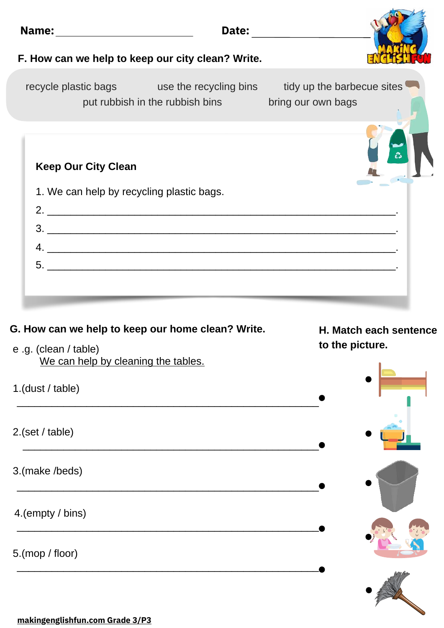|                                     | F. How can we help to keep our city clean? Write.                                                                                   |                        |
|-------------------------------------|-------------------------------------------------------------------------------------------------------------------------------------|------------------------|
|                                     |                                                                                                                                     |                        |
|                                     | recycle plastic bags example as the recycling bins tidy up the barbecue sites<br>put rubbish in the rubbish bins bring our own bags |                        |
| <b>Keep Our City Clean</b>          |                                                                                                                                     |                        |
|                                     | 1. We can help by recycling plastic bags.                                                                                           |                        |
|                                     |                                                                                                                                     |                        |
|                                     | $3.$ $\overline{\phantom{a}}$                                                                                                       |                        |
|                                     | $4. \_$                                                                                                                             |                        |
|                                     | $5.$ $\overline{\phantom{a}}$                                                                                                       |                        |
|                                     |                                                                                                                                     |                        |
|                                     | G. How can we help to keep our home clean? Write.                                                                                   | H. Match each sentence |
| e .g. (clean / table)               |                                                                                                                                     | to the picture.        |
| We can help by cleaning the tables. |                                                                                                                                     |                        |
| 1.(dust / table)                    |                                                                                                                                     |                        |
|                                     |                                                                                                                                     |                        |

 $\sim$  11

\_\_\_\_\_\_\_\_\_\_\_\_\_\_\_\_\_\_\_\_\_\_\_\_\_\_\_\_\_\_\_\_\_\_\_\_\_\_\_\_\_\_\_\_\_\_\_\_\_\_\_\_

\_\_\_\_\_\_\_\_\_\_\_\_\_\_\_\_\_\_\_\_\_\_\_\_\_\_\_\_\_\_\_\_\_\_\_\_\_\_\_\_\_\_\_\_\_\_\_\_\_\_\_\_

\_\_\_\_\_\_\_\_\_\_\_\_\_\_\_\_\_\_\_\_\_\_\_\_\_\_\_\_\_\_\_\_\_\_\_\_\_\_\_\_\_\_\_\_\_\_\_\_\_\_\_\_

3.(make /beds)

4.(empty / bins)

5.(mop / floor)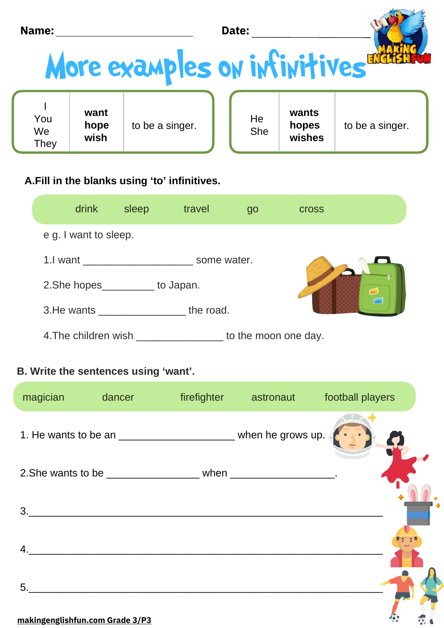| Name: | Date: |  |
|-------|-------|--|
|       |       |  |

# More examples on infinitives

| You<br>We<br>They | want<br>hope<br>wish | to be a singer. |  | He<br>She | wants<br>hopes<br>wishes | to be a singer. |  |
|-------------------|----------------------|-----------------|--|-----------|--------------------------|-----------------|--|
|-------------------|----------------------|-----------------|--|-----------|--------------------------|-----------------|--|

# A.Fill in the blanks using 'to' infinitives.

| drink                   | sleep     | travel               | 90 | <b>Cross</b> |  |
|-------------------------|-----------|----------------------|----|--------------|--|
| e g. I want to sleep.   |           |                      |    |              |  |
| 1.I want<br>some water. |           |                      |    |              |  |
| 2. She hopes            | to Japan. |                      |    |              |  |
| 3. He wants             | Р         |                      |    |              |  |
| 4. The children wish    |           | to the moon one day. |    |              |  |

# **B. Write the sentences using 'want'.**

| magician | <b>dancer</b> and the state of the state of the state of the state of the state of the state of the state of the state of the state of the state of the state of the state of the state of the state of the state of the state of t |                                                                         | firefighter astronaut football players |
|----------|-------------------------------------------------------------------------------------------------------------------------------------------------------------------------------------------------------------------------------------|-------------------------------------------------------------------------|----------------------------------------|
|          |                                                                                                                                                                                                                                     | 1. He wants to be an _____________________________ when he grows up.    |                                        |
|          |                                                                                                                                                                                                                                     | 2. She wants to be _________________________ when ____________________. |                                        |
| 3.       |                                                                                                                                                                                                                                     |                                                                         |                                        |
| 4.       |                                                                                                                                                                                                                                     |                                                                         |                                        |
| 5.       |                                                                                                                                                                                                                                     |                                                                         |                                        |
|          | makingonglichtun com Grado 3/03                                                                                                                                                                                                     |                                                                         |                                        |